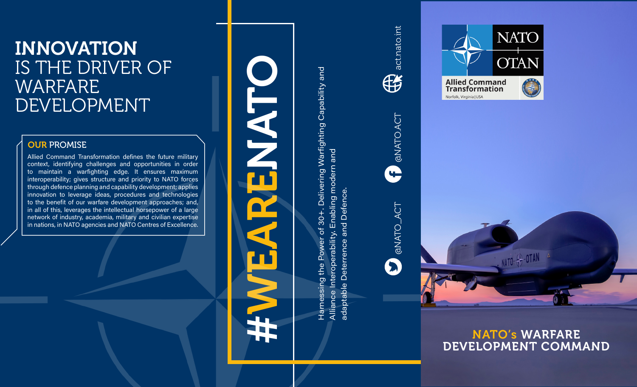# INNOVATION IS THE DRIVER OF **WARFARE** DEVELOPMENT

### **OUR PROMISE**

Allied Command Transformation defines the future military context, identifying challenges and opportunities in order to maintain a warfighting edge. It ensures maximum interoperability; gives structure and priority to NATO forces through defence planning and capability development; applies innovation to leverage ideas, procedures and technologies to the benefit of our warfare development approaches; and, in all of this, leverages the intellectual horsepower of a large network of industry, academia, military and civilian expertise in nations, in NATO agencies and NATO Centres of Excellence.

# WEARENATO **RAT** #

Harnessing the Power of 30+. Delivering Warfighting Capability and Harnessing the Power of 30+. Delivering Warfighting Capability and Alliance Interoperability. Enabling modern and Alliance Interoperability. Enabling modern and adaptable Deterrence and Defence. adaptable Deterrence and Defence







INTO- - OTAN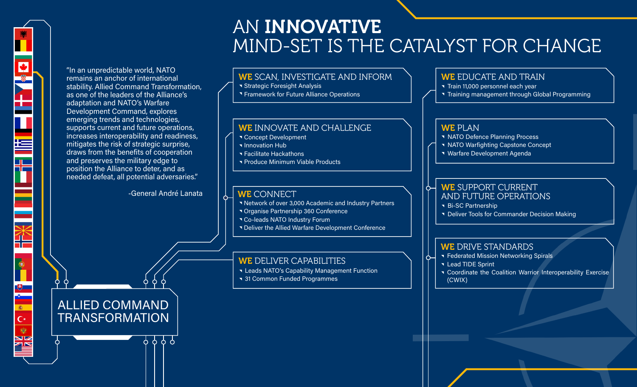## AN INNOVATIVE MIND-SET IS THE CATALYST FOR CHANGE

"In an unpredictable world, NATO remains an anchor of international stability. Allied Command Transformation, as one of the leaders of the Alliance's adaptation and NATO's Warfare Development Command, explores emerging trends and technologies, supports current and future operations, increases interoperability and readiness, mitigates the risk of strategic surprise, draws from the benefits of cooperation and preserves the military edge to position the Alliance to deter, and as needed defeat, all potential adversaries."

N.

 $\overline{\bullet}$ 

高  $\mathsf{C}^*$ 樂 **SZ** 

ZN

-General André Lanata

<u>ቀቀቀየ</u>

ALLIED COMMAND **TRANSFORMATION**  WE SCAN, INVESTIGATE AND INFORM

**Strategic Foresight Analysis** 

**T** Framework for Future Alliance Operations

#### WE INNOVATE AND CHALLENGE

- **T** Concept Development
- **Innovation Hub**
- **T** Facilitate Hackathons
- **T** Produce Minimum Viable Products

#### WE CONNECT

- **Network of over 3,000 Academic and Industry Partners**
- Organise Partnership 360 Conference
- **T** Co-leads NATO Industry Forum
- **T** Deliver the Allied Warfare Development Conference

#### WE DELIVER CAPABILITIES

- **K** Leads NATO's Capability Management Function
- **31 Common Funded Programmes**

#### WE EDUCATE AND TRAIN

- **Train 11,000 personnel each year**
- Training management through Global Programming

#### WE PLAN

- **NATO Defence Planning Process**
- **NATO Warfighting Capstone Concept**
- Warfare Development Agenda

#### WE SUPPORT CURRENT AND FUTURE OPERATIONS

**Bi-SC Partnership** 

Ò-

 $\sigma$ 

**T** Deliver Tools for Commander Decision Making

#### WE DRIVE STANDARDS

- **T** Federated Mission Networking Spirals
- **Lead TIDE Sprint**
- **T** Coordinate the Coalition Warrior Interoperability Exercise (CWIX)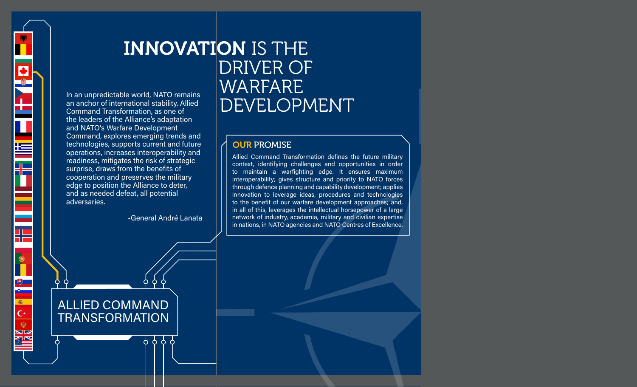

## INNOVATION IS THE<br>DRIVER OF<br>De world, NATO remains<br>Interional stability. Allied<br>Correction as one of In an unpredictable world, NATO remains an anchor of international stability. Allied Command Transformation, as one of

#### **OUR PROMISE**

Allied Command Transformation defines the future military context, identifying challenges and opportunities in order to maintain a warfighting edge. It ensures maximum interoperability; gives structure and priority to NATO forces through defence planning and capability development; applies innovation to leverage ideas, procedures and technologies to the benefit of our warfare development approaches; and, in all of this, leverages the intellectual horsepower of a large network of industry, academia, military and civilian expertise in nations, in NATO agencies and NATO Centres of Excellence.

ALLIED COMMAND TRANSFORMATION

adversaries.

the leaders of the Alliance's adaptation and NATO's Warfare Development

Command, explores emerging trends and technologies, supports current and future operations, increases interoperability and readiness, mitigates the risk of strategic surprise, draws from the benefits of cooperation and preserves the military edge to position the Alliance to deter, and as needed defeat, all potential

-General André Lanata

9999